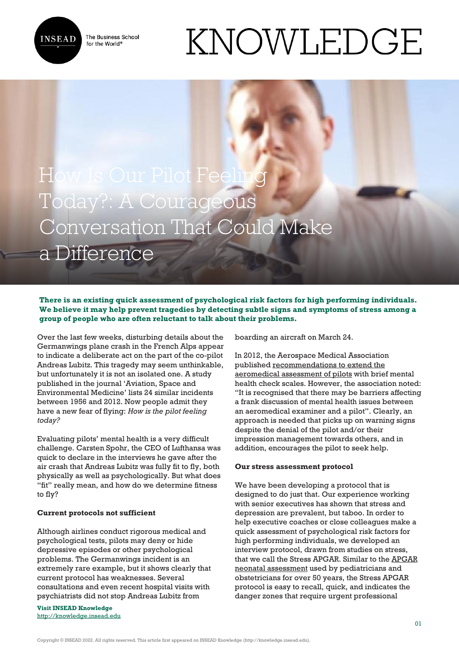

The Business School for the World<sup>®</sup>

# KNOWLEDGE

## How Is Our Pilot Feeling Today?: A Courageous Conversation That Could Make a Difference

#### **There is an existing quick assessment of psychological risk factors for high performing individuals. We believe it may help prevent tragedies by detecting subtle signs and symptoms of stress among a group of people who are often reluctant to talk about their problems.**

Over the last few weeks, disturbing details about the Germanwings plane crash in the French Alps appear to indicate a deliberate act on the part of the co-pilot Andreas Lubitz. This tragedy may seem unthinkable, but unfortunately it is not an isolated one. A study published in the journal 'Aviation, Space and Environmental Medicine' lists 24 similar incidents between 1956 and 2012. Now people admit they have a new fear of flying: *How is the pilot feeling today?*

Evaluating pilots' mental health is a very difficult challenge. Carsten Spohr, the CEO of Lufthansa was quick to declare in the interviews he gave after the air crash that Andreas Lubitz was fully fit to fly, both physically as well as psychologically. But what does "fit" really mean, and how do we determine fitness to fly?

### **Current protocols not sufficient**

Although airlines conduct rigorous medical and psychological tests, pilots may deny or hide depressive episodes or other psychological problems. The Germanwings incident is an extremely rare example, but it shows clearly that current protocol has weaknesses. Several consultations and even recent hospital visits with psychiatrists did not stop Andreas Lubitz from

**Visit INSEAD Knowledge** <http://knowledge.insead.edu> boarding an aircraft on March 24.

In 2012, the Aerospace Medical Association published [recommendations to extend the](http://www.asma.org/asma/media/AsMA/pdf-policy/2015/Pilot-Mental-Health-Expert-Working-Group-Recommendations-ASEM-Dec-2012.pdf) [aeromedical assessment of pilots](http://www.asma.org/asma/media/AsMA/pdf-policy/2015/Pilot-Mental-Health-Expert-Working-Group-Recommendations-ASEM-Dec-2012.pdf) with brief mental health check scales. However, the association noted: "It is recognised that there may be barriers affecting a frank discussion of mental health issues between an aeromedical examiner and a pilot". Clearly, an approach is needed that picks up on warning signs despite the denial of the pilot and/or their impression management towards others, and in addition, encourages the pilot to seek help.

#### **Our stress assessment protocol**

We have been developing a protocol that is designed to do just that. Our experience working with senior executives has shown that stress and depression are prevalent, but taboo. In order to help executive coaches or close colleagues make a quick assessment of psychological risk factors for high performing individuals, we developed an interview protocol, drawn from studies on stress, that we call the Stress APGAR. Similar to the [APGAR](http://www.nlm.nih.gov/medlineplus/ency/article/003402.htm) [neonatal assessment](http://www.nlm.nih.gov/medlineplus/ency/article/003402.htm) used by pediatricians and obstetricians for over 50 years, the Stress APGAR protocol is easy to recall, quick, and indicates the danger zones that require urgent professional

Copyright © INSEAD 2022. All rights reserved. This article first appeared on INSEAD Knowledge (http://knowledge.insead.edu).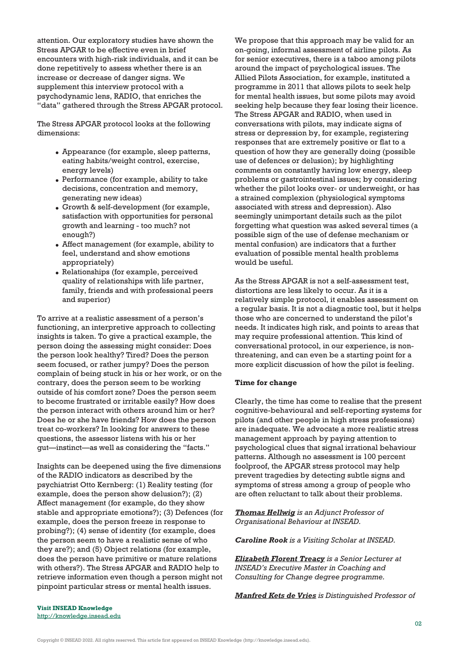attention. Our exploratory studies have shown the Stress APGAR to be effective even in brief encounters with high-risk individuals, and it can be done repetitively to assess whether there is an increase or decrease of danger signs. We supplement this interview protocol with a psychodynamic lens, RADIO, that enriches the "data" gathered through the Stress APGAR protocol.

The Stress APGAR protocol looks at the following dimensions:

- Appearance (for example, sleep patterns, eating habits/weight control, exercise, energy levels)
- Performance (for example, ability to take decisions, concentration and memory, generating new ideas)
- Growth & self-development (for example, satisfaction with opportunities for personal growth and learning - too much? not enough?)
- Affect management (for example, ability to feel, understand and show emotions appropriately)
- Relationships (for example, perceived quality of relationships with life partner, family, friends and with professional peers and superior)

To arrive at a realistic assessment of a person's functioning, an interpretive approach to collecting insights is taken. To give a practical example, the person doing the assessing might consider: Does the person look healthy? Tired? Does the person seem focused, or rather jumpy? Does the person complain of being stuck in his or her work, or on the contrary, does the person seem to be working outside of his comfort zone? Does the person seem to become frustrated or irritable easily? How does the person interact with others around him or her? Does he or she have friends? How does the person treat co-workers? In looking for answers to these questions, the assessor listens with his or her gut—instinct—as well as considering the "facts."

Insights can be deepened using the five dimensions of the RADIO indicators as described by the psychiatrist Otto Kernberg: (1) Reality testing (for example, does the person show delusion?); (2) Affect management (for example, do they show stable and appropriate emotions?); (3) Defences (for example, does the person freeze in response to probing?); (4) sense of identity (for example, does the person seem to have a realistic sense of who they are?); and (5) Object relations (for example, does the person have primitive or mature relations with others?). The Stress APGAR and RADIO help to retrieve information even though a person might not pinpoint particular stress or mental health issues.

We propose that this approach may be valid for an on-going, informal assessment of airline pilots. As for senior executives, there is a taboo among pilots around the impact of psychological issues. The Allied Pilots Association, for example, instituted a programme in 2011 that allows pilots to seek help for mental health issues, but some pilots may avoid seeking help because they fear losing their licence. The Stress APGAR and RADIO, when used in conversations with pilots, may indicate signs of stress or depression by, for example, registering responses that are extremely positive or flat to a question of how they are generally doing (possible use of defences or delusion); by highlighting comments on constantly having low energy, sleep problems or gastrointestinal issues; by considering whether the pilot looks over- or underweight, or has a strained complexion (physiological symptoms associated with stress and depression). Also seemingly unimportant details such as the pilot forgetting what question was asked several times (a possible sign of the use of defense mechanism or mental confusion) are indicators that a further evaluation of possible mental health problems would be useful.

As the Stress APGAR is not a self-assessment test, distortions are less likely to occur. As it is a relatively simple protocol, it enables assessment on a regular basis. It is not a diagnostic tool, but it helps those who are concerned to understand the pilot's needs. It indicates high risk, and points to areas that may require professional attention. This kind of conversational protocol, in our experience, is nonthreatening, and can even be a starting point for a more explicit discussion of how the pilot is feeling.

#### **Time for change**

Clearly, the time has come to realise that the present cognitive-behavioural and self-reporting systems for pilots (and other people in high stress professions) are inadequate. We advocate a more realistic stress management approach by paying attention to psychological clues that signal irrational behaviour patterns. Although no assessment is 100 percent foolproof, the APGAR stress protocol may help prevent tragedies by detecting subtle signs and symptoms of stress among a group of people who are often reluctant to talk about their problems.

*[Thomas Hellwig](http://www.insead.edu/facultyresearch/faculty/profiles/thellwig/) is an Adjunct Professor of Organisational Behaviour at INSEAD.*

*Caroline Rook is a Visiting Scholar at INSEAD.*

*[Elizabeth Florent Treacy](https://knowledge.insead.edu/users/eflorenttreacy) is a Senior Lecturer at INSEAD's Executive Master in Coaching and Consulting for Change degree programme.*

*[Manfred Kets de Vries](http://www.insead.edu/facultyresearch/faculty/profiles/mketsdevries/) is Distinguished Professor of*

**Visit INSEAD Knowledge** <http://knowledge.insead.edu>

Copyright © INSEAD 2022. All rights reserved. This article first appeared on INSEAD Knowledge (http://knowledge.insead.edu).